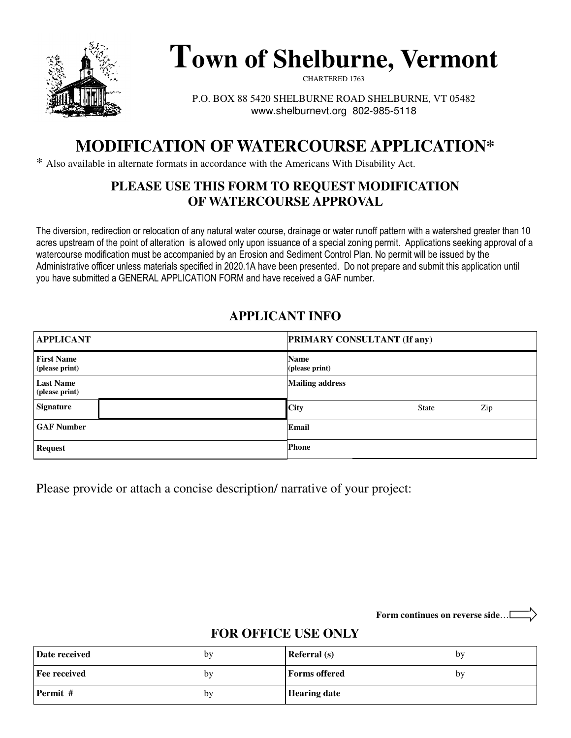

# **Town of Shelburne, Vermont**

CHARTERED 1763

P.O. BOX 88 5420 SHELBURNE ROAD SHELBURNE, VT 05482 www.shelburnevt.org 802-985-5118

# **MODIFICATION OF WATERCOURSE APPLICATION\***

\* Also available in alternate formats in accordance with the Americans With Disability Act.

#### **PLEASE USE THIS FORM TO REQUEST MODIFICATION OF WATERCOURSE APPROVAL**

The diversion, redirection or relocation of any natural water course, drainage or water runoff pattern with a watershed greater than 10 acres upstream of the point of alteration is allowed only upon issuance of a special zoning permit. Applications seeking approval of a watercourse modification must be accompanied by an Erosion and Sediment Control Plan. No permit will be issued by the Administrative officer unless materials specified in 2020.1A have been presented. Do not prepare and submit this application until you have submitted a GENERAL APPLICATION FORM and have received a GAF number.

#### **APPLICANT INFO**

| <b>APPLICANT</b>                    | <b>PRIMARY CONSULTANT (If any)</b> |  |
|-------------------------------------|------------------------------------|--|
| <b>First Name</b><br>(please print) | <b>Name</b><br>(please print)      |  |
| <b>Last Name</b><br>(please print)  | <b>Mailing address</b>             |  |
| <b>Signature</b>                    | <b>City</b><br>Zip<br><b>State</b> |  |
| <b>GAF Number</b>                   | Email                              |  |
| <b>Request</b>                      | <b>Phone</b>                       |  |

Please provide or attach a concise description/ narrative of your project:

**Form continues on reverse side**…

#### **FOR OFFICE USE ONLY**

| Date received       | by | <b>Referral</b> (s)  | by |
|---------------------|----|----------------------|----|
| <b>Fee received</b> | by | <b>Forms offered</b> | by |
| Permit #            | by | <b>Hearing date</b>  |    |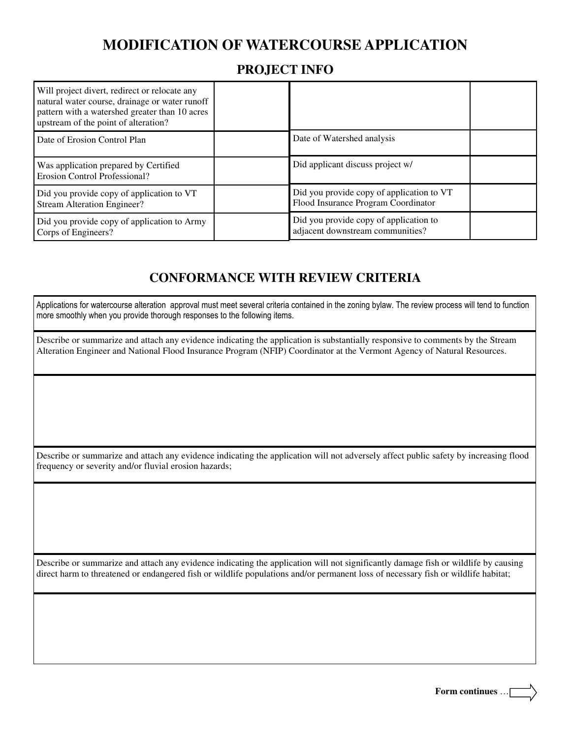## **MODIFICATION OF WATERCOURSE APPLICATION**

#### **PROJECT INFO**

| Will project divert, redirect or relocate any<br>natural water course, drainage or water runoff<br>pattern with a watershed greater than 10 acres<br>upstream of the point of alteration? |                                                                                  |  |
|-------------------------------------------------------------------------------------------------------------------------------------------------------------------------------------------|----------------------------------------------------------------------------------|--|
| Date of Erosion Control Plan                                                                                                                                                              | Date of Watershed analysis                                                       |  |
| Was application prepared by Certified<br><b>Erosion Control Professional?</b>                                                                                                             | Did applicant discuss project w/                                                 |  |
| Did you provide copy of application to VT<br><b>Stream Alteration Engineer?</b>                                                                                                           | Did you provide copy of application to VT<br>Flood Insurance Program Coordinator |  |
| Did you provide copy of application to Army<br>Corps of Engineers?                                                                                                                        | Did you provide copy of application to<br>adjacent downstream communities?       |  |

#### **CONFORMANCE WITH REVIEW CRITERIA**

Applications for watercourse alteration approval must meet several criteria contained in the zoning bylaw. The review process will tend to function more smoothly when you provide thorough responses to the following items.

Describe or summarize and attach any evidence indicating the application is substantially responsive to comments by the Stream Alteration Engineer and National Flood Insurance Program (NFIP) Coordinator at the Vermont Agency of Natural Resources.

Describe or summarize and attach any evidence indicating the application will not adversely affect public safety by increasing flood frequency or severity and/or fluvial erosion hazards;

Describe or summarize and attach any evidence indicating the application will not significantly damage fish or wildlife by causing direct harm to threatened or endangered fish or wildlife populations and/or permanent loss of necessary fish or wildlife habitat;

**Form continues** …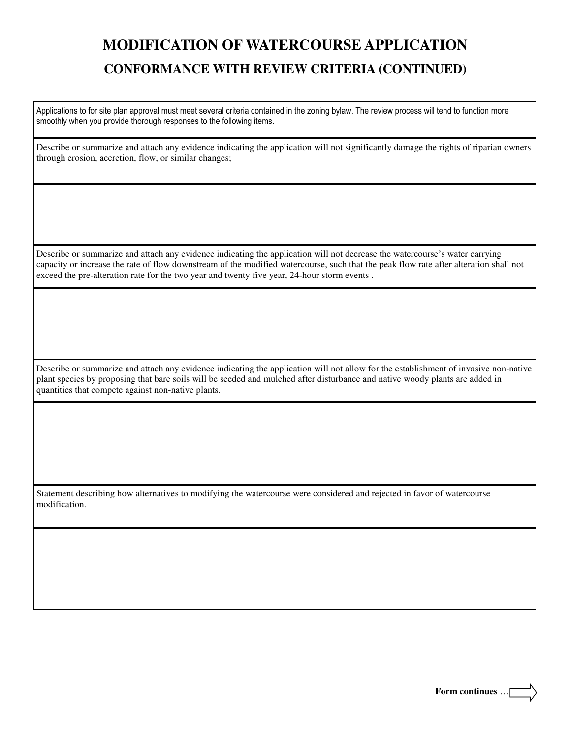# **MODIFICATION OF WATERCOURSE APPLICATION CONFORMANCE WITH REVIEW CRITERIA (CONTINUED)**

Applications to for site plan approval must meet several criteria contained in the zoning bylaw. The review process will tend to function more smoothly when you provide thorough responses to the following items.

Describe or summarize and attach any evidence indicating the application will not significantly damage the rights of riparian owners through erosion, accretion, flow, or similar changes;

Describe or summarize and attach any evidence indicating the application will not decrease the watercourse's water carrying capacity or increase the rate of flow downstream of the modified watercourse, such that the peak flow rate after alteration shall not exceed the pre-alteration rate for the two year and twenty five year, 24-hour storm events .

Describe or summarize and attach any evidence indicating the application will not allow for the establishment of invasive non-native plant species by proposing that bare soils will be seeded and mulched after disturbance and native woody plants are added in quantities that compete against non-native plants.

Statement describing how alternatives to modifying the watercourse were considered and rejected in favor of watercourse modification.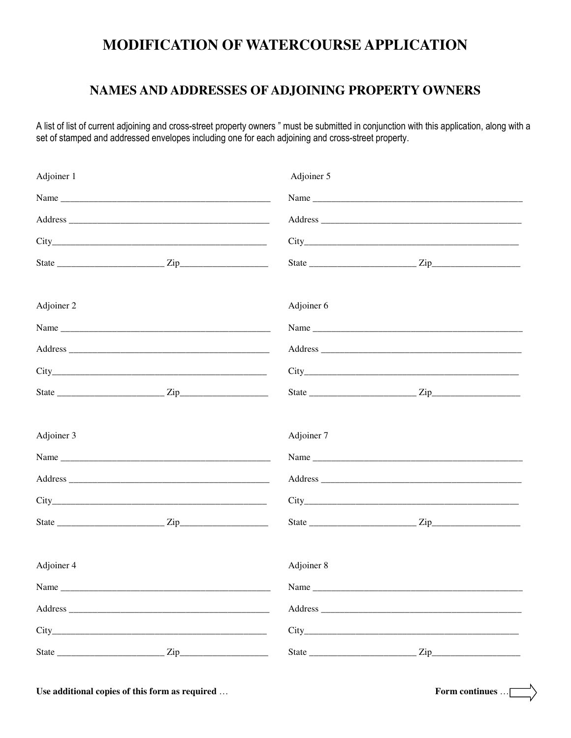# MODIFICATION OF WATERCOURSE APPLICATION

#### NAMES AND ADDRESSES OF ADJOINING PROPERTY OWNERS

A list of list of current adjoining and cross-street property owners " must be submitted in conjunction with this application, along with a set of stamped and addressed envelopes including one for each adjoining and cross-street property.

| Adjoiner 1 | Adjoiner 5 |      |
|------------|------------|------|
|            |            |      |
|            |            |      |
|            |            |      |
|            |            |      |
| Adjoiner 2 | Adjoiner 6 |      |
|            |            | Name |
|            |            |      |
|            |            |      |
|            |            |      |
| Adjoiner 3 | Adjoiner 7 |      |
|            |            |      |
|            |            |      |
|            |            |      |
|            |            |      |
| Adjoiner 4 | Adjoiner 8 |      |
| Name       | Name       |      |
|            |            |      |
|            |            |      |
|            |            |      |

Use additional copies of this form as required ...